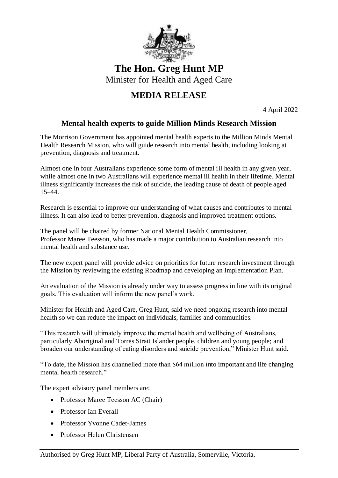

## **The Hon. Greg Hunt MP** Minister for Health and Aged Care

## **MEDIA RELEASE**

4 April 2022

## **Mental health experts to guide Million Minds Research Mission**

The Morrison Government has appointed mental health experts to the Million Minds Mental Health Research Mission, who will guide research into mental health, including looking at prevention, diagnosis and treatment.

Almost one in four Australians experience some form of mental ill health in any given year, while almost one in two Australians will experience mental ill health in their lifetime. Mental illness significantly increases the risk of suicide, the leading cause of death of people aged 15–44.

Research is essential to improve our understanding of what causes and contributes to mental illness. It can also lead to better prevention, diagnosis and improved treatment options.

The panel will be chaired by former National Mental Health Commissioner, Professor Maree Teesson, who has made a major contribution to Australian research into mental health and substance use.

The new expert panel will provide advice on priorities for future research investment through the Mission by reviewing the existing Roadmap and developing an Implementation Plan.

An evaluation of the Mission is already under way to assess progress in line with its original goals. This evaluation will inform the new panel's work.

Minister for Health and Aged Care, Greg Hunt, said we need ongoing research into mental health so we can reduce the impact on individuals, families and communities.

"This research will ultimately improve the mental health and wellbeing of Australians, particularly Aboriginal and Torres Strait Islander people, children and young people; and broaden our understanding of eating disorders and suicide prevention," Minister Hunt said.

"To date, the Mission has channelled more than \$64 million into important and life changing mental health research."

The expert advisory panel members are:

- Professor Maree Teesson AC (Chair)
- Professor Ian Everall
- Professor Yvonne Cadet-James
- Professor Helen Christensen